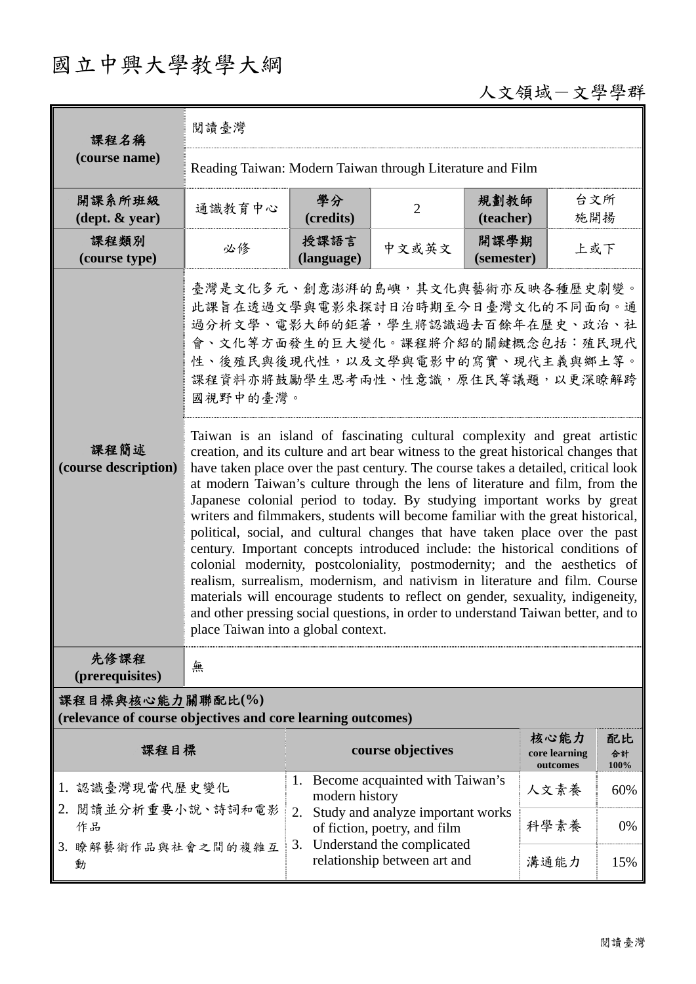# 國立中興大學教學大綱

## 人文領域-文學學群

| 課程名稱                                                                            | 閱讀臺灣                                                                                                                                                                                                                                                                                                                                                                                                                                                                                                                                                                                                                                                                                                                                                                                                                                                                                                                                                                                                                                                                                                                                                                                                                                                                                |                                                                                                                                          |                |                    |                                   |                  |  |  |  |
|---------------------------------------------------------------------------------|-------------------------------------------------------------------------------------------------------------------------------------------------------------------------------------------------------------------------------------------------------------------------------------------------------------------------------------------------------------------------------------------------------------------------------------------------------------------------------------------------------------------------------------------------------------------------------------------------------------------------------------------------------------------------------------------------------------------------------------------------------------------------------------------------------------------------------------------------------------------------------------------------------------------------------------------------------------------------------------------------------------------------------------------------------------------------------------------------------------------------------------------------------------------------------------------------------------------------------------------------------------------------------------|------------------------------------------------------------------------------------------------------------------------------------------|----------------|--------------------|-----------------------------------|------------------|--|--|--|
| (course name)                                                                   | Reading Taiwan: Modern Taiwan through Literature and Film                                                                                                                                                                                                                                                                                                                                                                                                                                                                                                                                                                                                                                                                                                                                                                                                                                                                                                                                                                                                                                                                                                                                                                                                                           |                                                                                                                                          |                |                    |                                   |                  |  |  |  |
| 開課系所班級<br>$(\text{dept.} \& \text{ year})$                                      | 通識教育中心                                                                                                                                                                                                                                                                                                                                                                                                                                                                                                                                                                                                                                                                                                                                                                                                                                                                                                                                                                                                                                                                                                                                                                                                                                                                              | 學分<br>(credits)                                                                                                                          | $\overline{2}$ | 規劃教師<br>(teacher)  | 台文所<br>施開揚                        |                  |  |  |  |
| 課程類別<br>(course type)                                                           | 必修                                                                                                                                                                                                                                                                                                                                                                                                                                                                                                                                                                                                                                                                                                                                                                                                                                                                                                                                                                                                                                                                                                                                                                                                                                                                                  | 授課語言<br>(language)                                                                                                                       | 中文或英文          | 開課學期<br>(semester) | 上或下                               |                  |  |  |  |
| 課程簡述<br>(course description)                                                    | 臺灣是文化多元、創意澎湃的島嶼,其文化與藝術亦反映各種歷史劇變。<br>此課旨在透過文學與電影來探討日治時期至今日臺灣文化的不同面向。通<br>過分析文學、電影大師的鉅著,學生將認識過去百餘年在歷史、政治、社<br>會、文化等方面發生的巨大變化。課程將介紹的關鍵概念包括︰殖民現代<br>性、後殖民與後現代性,以及文學與電影中的寫實、現代主義與鄉土等。<br>課程資料亦將鼓勵學生思考兩性、性意識,原住民等議題,以更深瞭解跨<br>國視野中的臺灣。<br>Taiwan is an island of fascinating cultural complexity and great artistic<br>creation, and its culture and art bear witness to the great historical changes that<br>have taken place over the past century. The course takes a detailed, critical look<br>at modern Taiwan's culture through the lens of literature and film, from the<br>Japanese colonial period to today. By studying important works by great<br>writers and filmmakers, students will become familiar with the great historical,<br>political, social, and cultural changes that have taken place over the past<br>century. Important concepts introduced include: the historical conditions of<br>colonial modernity, postcoloniality, postmodernity; and the aesthetics of<br>realism, surrealism, modernism, and nativism in literature and film. Course<br>materials will encourage students to reflect on gender, sexuality, indigeneity,<br>and other pressing social questions, in order to understand Taiwan better, and to<br>place Taiwan into a global context. |                                                                                                                                          |                |                    |                                   |                  |  |  |  |
| 先修課程<br>(prerequisites)                                                         | 無                                                                                                                                                                                                                                                                                                                                                                                                                                                                                                                                                                                                                                                                                                                                                                                                                                                                                                                                                                                                                                                                                                                                                                                                                                                                                   |                                                                                                                                          |                |                    |                                   |                  |  |  |  |
| 課程目標與核心能力關聯配比(%)<br>(relevance of course objectives and core learning outcomes) |                                                                                                                                                                                                                                                                                                                                                                                                                                                                                                                                                                                                                                                                                                                                                                                                                                                                                                                                                                                                                                                                                                                                                                                                                                                                                     |                                                                                                                                          |                |                    |                                   |                  |  |  |  |
| 課程目標                                                                            |                                                                                                                                                                                                                                                                                                                                                                                                                                                                                                                                                                                                                                                                                                                                                                                                                                                                                                                                                                                                                                                                                                                                                                                                                                                                                     | course objectives                                                                                                                        |                |                    | 核心能力<br>core learning<br>outcomes | 配比<br>合計<br>100% |  |  |  |
| 1. 認識臺灣現當代歷史變化<br>2. 閲讀並分析重要小說、詩詞和電影                                            |                                                                                                                                                                                                                                                                                                                                                                                                                                                                                                                                                                                                                                                                                                                                                                                                                                                                                                                                                                                                                                                                                                                                                                                                                                                                                     | Become acquainted with Taiwan's<br>1.<br>modern history                                                                                  |                |                    | 人文素養                              | 60%              |  |  |  |
| 作品                                                                              |                                                                                                                                                                                                                                                                                                                                                                                                                                                                                                                                                                                                                                                                                                                                                                                                                                                                                                                                                                                                                                                                                                                                                                                                                                                                                     | Study and analyze important works<br>2.<br>of fiction, poetry, and film<br>3. Understand the complicated<br>relationship between art and |                |                    | 科學素養                              | $0\%$            |  |  |  |
| 3. 瞭解藝術作品與社會之間的複雜互<br>動                                                         |                                                                                                                                                                                                                                                                                                                                                                                                                                                                                                                                                                                                                                                                                                                                                                                                                                                                                                                                                                                                                                                                                                                                                                                                                                                                                     |                                                                                                                                          |                |                    | 溝通能力                              | 15%              |  |  |  |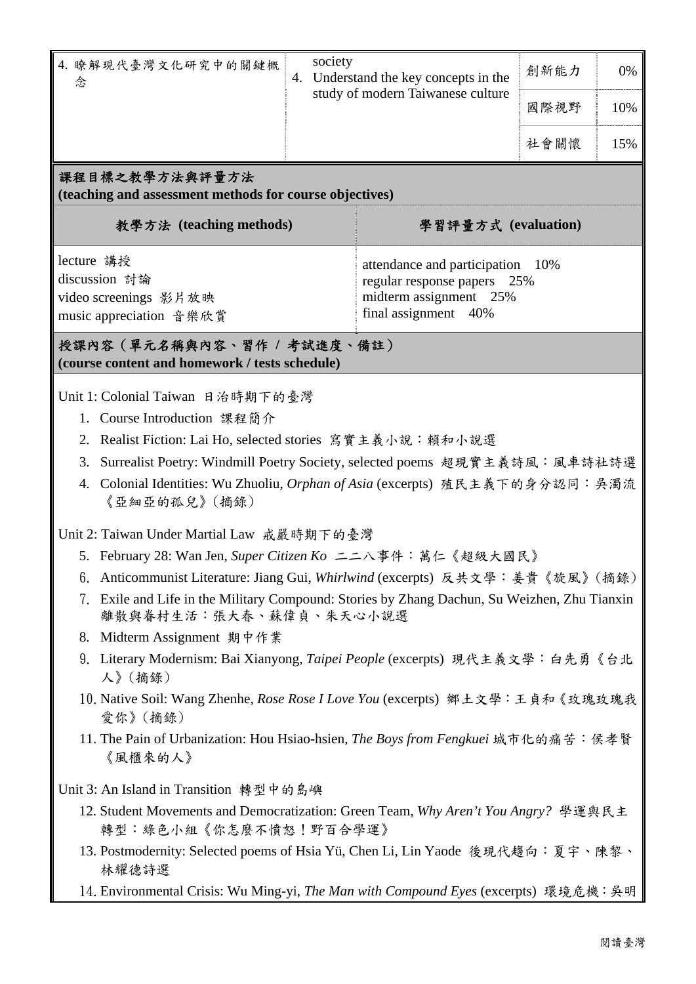| 4. 瞭解現代臺灣文化研究中的關鍵概<br>念                                                                                                     | society<br>Understand the key concepts in the<br>4.<br>study of modern Taiwanese culture                          |  | 創新能力<br>國際視野<br>社會關懷 | 0%<br>10%<br>15% |  |  |  |  |
|-----------------------------------------------------------------------------------------------------------------------------|-------------------------------------------------------------------------------------------------------------------|--|----------------------|------------------|--|--|--|--|
| 課程目標之教學方法與評量方法<br>(teaching and assessment methods for course objectives)<br>學習評量方式 (evaluation)<br>教學方法 (teaching methods) |                                                                                                                   |  |                      |                  |  |  |  |  |
| lecture 講授<br>discussion 討論<br>video screenings 影片放映<br>music appreciation 音樂欣賞                                             | attendance and participation 10%<br>regular response papers 25%<br>midterm assignment 25%<br>final assignment 40% |  |                      |                  |  |  |  |  |
| 授課內容 (單元名稱與內容、習作 / 考試進度、備註)                                                                                                 |                                                                                                                   |  |                      |                  |  |  |  |  |

**(course content and homework / tests schedule)** 

Unit 1: Colonial Taiwan 日治時期下的臺灣

- 1. Course Introduction 課程簡介
- 2. Realist Fiction: Lai Ho, selected stories 寫實主義小說:賴和小說選
- 3. Surrealist Poetry: Windmill Poetry Society, selected poems 超現實主義詩風:風車詩社詩選
- 4. Colonial Identities: Wu Zhuoliu, *Orphan of Asia* (excerpts) 殖民主義下的身分認同:吳濁流 《亞細亞的孤兒》(摘錄)

Unit 2: Taiwan Under Martial Law 戒嚴時期下的臺灣

- 5. February 28: Wan Jen, *Super Citizen Ko* 二二八事件:萬仁《超級大國民》
- 6. Anticommunist Literature: Jiang Gui, *Whirlwind* (excerpts) 反共文學:姜貴《旋風》(摘錄)
- 7. Exile and Life in the Military Compound: Stories by Zhang Dachun, Su Weizhen, Zhu Tianxin 離散與眷村生活:張大春、蘇偉貞、朱天心小說選
- 8. Midterm Assignment 期中作業
- 9. Literary Modernism: Bai Xianyong, *Taipei People* (excerpts) 現代主義文學:白先勇《台北 人》(摘錄)
- 10.Native Soil: Wang Zhenhe, *Rose Rose I Love You* (excerpts) 鄉土文學:王貞和《玫瑰玫瑰我 愛你》(摘錄)
- 11. The Pain of Urbanization: Hou Hsiao-hsien, *The Boys from Fengkuei* 城市化的痛苦:侯孝賢 《風櫃來的人》

Unit 3: An Island in Transition 轉型中的島嶼

- 12. Student Movements and Democratization: Green Team, *Why Aren't You Angry?* 學運與民主 轉型:綠色小組《你怎麼不憤怒!野百合學運》
- 13. Postmodernity: Selected poems of Hsia Yü, Chen Li, Lin Yaode 後現代趨向:夏宇、陳黎、 林耀德詩選
- 14.Environmental Crisis: Wu Ming-yi, *The Man with Compound Eyes* (excerpts) 環境危機:吳明